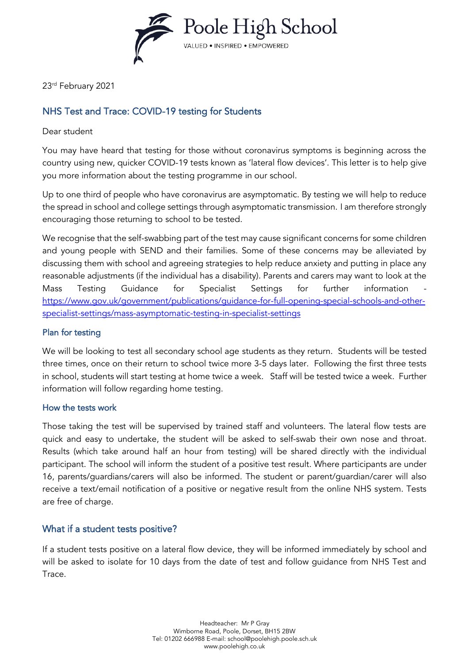

23rd February 2021

# NHS Test and Trace: COVID-19 testing for Students

### Dear student

You may have heard that testing for those without coronavirus symptoms is beginning across the country using new, quicker COVID-19 tests known as 'lateral flow devices'. This letter is to help give you more information about the testing programme in our school.

Up to one third of people who have coronavirus are asymptomatic. By testing we will help to reduce the spread in school and college settings through asymptomatic transmission. I am therefore strongly encouraging those returning to school to be tested.

We recognise that the self-swabbing part of the test may cause significant concerns for some children and young people with SEND and their families. Some of these concerns may be alleviated by discussing them with school and agreeing strategies to help reduce anxiety and putting in place any reasonable adjustments (if the individual has a disability). Parents and carers may want to look at the Mass Testing Guidance for Specialist Settings for further information [https://www.gov.uk/government/publications/guidance-for-full-opening-special-schools-and-other](https://www.gov.uk/government/publications/guidance-for-full-opening-special-schools-and-other-specialist-settings/mass-asymptomatic-testing-in-specialist-settings)[specialist-settings/mass-asymptomatic-testing-in-specialist-settings](https://www.gov.uk/government/publications/guidance-for-full-opening-special-schools-and-other-specialist-settings/mass-asymptomatic-testing-in-specialist-settings)

## Plan for testing

We will be looking to test all secondary school age students as they return. Students will be tested three times, once on their return to school twice more 3-5 days later. Following the first three tests in school, students will start testing at home twice a week. Staff will be tested twice a week. Further information will follow regarding home testing.

#### How the tests work

Those taking the test will be supervised by trained staff and volunteers. The lateral flow tests are quick and easy to undertake, the student will be asked to self-swab their own nose and throat. Results (which take around half an hour from testing) will be shared directly with the individual participant. The school will inform the student of a positive test result. Where participants are under 16, parents/guardians/carers will also be informed. The student or parent/guardian/carer will also receive a text/email notification of a positive or negative result from the online NHS system. Tests are free of charge.

## What if a student tests positive?

If a student tests positive on a lateral flow device, they will be informed immediately by school and will be asked to isolate for 10 days from the date of test and follow guidance from NHS Test and Trace.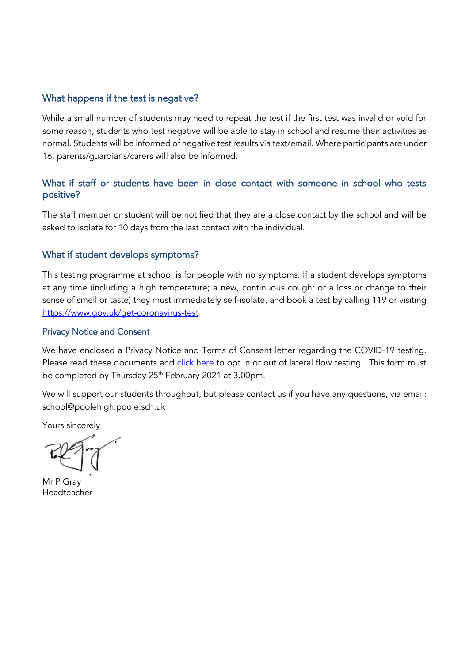## What happens if the test is negative?

While a small number of students may need to repeat the test if the first test was invalid or void for some reason, students who test negative will be able to stay in school and resume their activities as normal. Students will be informed of negative test results via text/email. Where participants are under 16, parents/guardians/carers will also be informed.

## What if staff or students have been in close contact with someone in school who tests positive?

The staff member or student will be notified that they are a close contact by the school and will be asked to isolate for 10 days from the last contact with the individual.

## What if student develops symptoms?

This testing programme at school is for people with no symptoms. If a student develops symptoms at any time (including a high temperature; a new, continuous cough; or a loss or change to their sense of smell or taste) they must immediately self-isolate, and book a test by calling 119 or visiting <https://www.gov.uk/get-coronavirus-test>

#### Privacy Notice and Consent

We have enclosed a Privacy Notice and Terms of Consent letter regarding the COVID-19 testing. Please read these documents and [click here](https://docs.google.com/forms/d/1qLKGdwmlwjiqnclf4JsSZgfcawy6Mfhk47_YuCNzx44/edit?usp=sharing) to opt in or out of lateral flow testing. This form must be completed by Thursday 25<sup>th</sup> February 2021 at 3.00pm.

We will support our students throughout, but please contact us if you have any questions, via email: school@poolehigh.poole.sch.uk

Yours sincerely

Mr P Gray Headteacher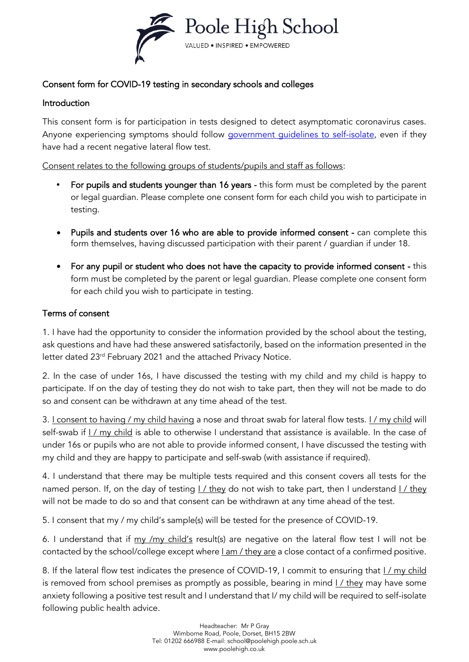

# Consent form for COVID-19 testing in secondary schools and colleges

## Introduction

This consent form is for participation in tests designed to detect asymptomatic coronavirus cases. Anyone experiencing symptoms should follow [government guidelines to self-isolate,](https://www.gov.uk/government/publications/covid-19-stay-at-home-guidance/stay-at-home-guidance-for-households-with-possible-coronavirus-covid-19-infection) even if they have had a recent negative lateral flow test.

Consent relates to the following groups of students/pupils and staff as follows:

- **•** For pupils and students younger than 16 years this form must be completed by the parent or legal guardian. Please complete one consent form for each child you wish to participate in testing.
- Pupils and students over 16 who are able to provide informed consent can complete this form themselves, having discussed participation with their parent / guardian if under 18.
- For any pupil or student who does not have the capacity to provide informed consent this form must be completed by the parent or legal guardian. Please complete one consent form for each child you wish to participate in testing.

## Terms of consent

1. I have had the opportunity to consider the information provided by the school about the testing, ask questions and have had these answered satisfactorily, based on the information presented in the letter dated 23rd February 2021 and the attached Privacy Notice.

2. In the case of under 16s, I have discussed the testing with my child and my child is happy to participate. If on the day of testing they do not wish to take part, then they will not be made to do so and consent can be withdrawn at any time ahead of the test.

3. I consent to having / my child having a nose and throat swab for lateral flow tests. I / my child will self-swab if I / my child is able to otherwise I understand that assistance is available. In the case of under 16s or pupils who are not able to provide informed consent, I have discussed the testing with my child and they are happy to participate and self-swab (with assistance if required).

4. I understand that there may be multiple tests required and this consent covers all tests for the named person. If, on the day of testing I / they do not wish to take part, then I understand I / they will not be made to do so and that consent can be withdrawn at any time ahead of the test.

5. I consent that my / my child's sample(s) will be tested for the presence of COVID-19.

6. I understand that if my /my child's result(s) are negative on the lateral flow test I will not be contacted by the school/college except where *I am / they are a close contact of a confirmed positive*.

8. If the lateral flow test indicates the presence of COVID-19, I commit to ensuring that  $1/$  my child is removed from school premises as promptly as possible, bearing in mind I / they may have some anxiety following a positive test result and I understand that I/ my child will be required to self-isolate following public health advice.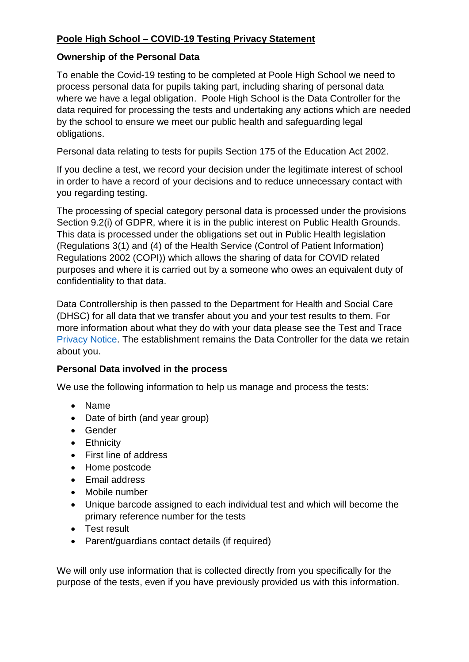# **Poole High School – COVID-19 Testing Privacy Statement**

## **Ownership of the Personal Data**

To enable the Covid-19 testing to be completed at Poole High School we need to process personal data for pupils taking part, including sharing of personal data where we have a legal obligation. Poole High School is the Data Controller for the data required for processing the tests and undertaking any actions which are needed by the school to ensure we meet our public health and safeguarding legal obligations.

Personal data relating to tests for pupils Section 175 of the Education Act 2002.

If you decline a test, we record your decision under the legitimate interest of school in order to have a record of your decisions and to reduce unnecessary contact with you regarding testing.

The processing of special category personal data is processed under the provisions Section 9.2(i) of GDPR, where it is in the public interest on Public Health Grounds. This data is processed under the obligations set out in Public Health legislation (Regulations 3(1) and (4) of the Health Service (Control of Patient Information) Regulations 2002 (COPI)) which allows the sharing of data for COVID related purposes and where it is carried out by a someone who owes an equivalent duty of confidentiality to that data.

Data Controllership is then passed to the Department for Health and Social Care (DHSC) for all data that we transfer about you and your test results to them. For more information about what they do with your data please see the Test and Trace [Privacy Notice.](https://contact-tracing.phe.gov.uk/help/privacy-notice) The establishment remains the Data Controller for the data we retain about you.

# **Personal Data involved in the process**

We use the following information to help us manage and process the tests:

- Name
- Date of birth (and year group)
- Gender
- **•** Ethnicity
- First line of address
- Home postcode
- Email address
- Mobile number
- Unique barcode assigned to each individual test and which will become the primary reference number for the tests
- Test result
- Parent/guardians contact details (if required)

We will only use information that is collected directly from you specifically for the purpose of the tests, even if you have previously provided us with this information.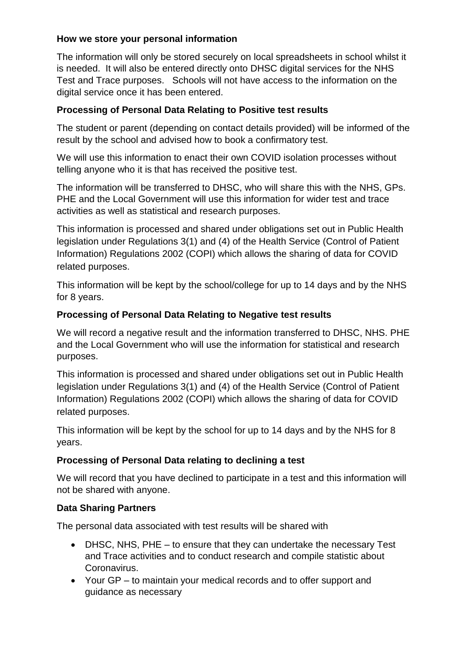# **How we store your personal information**

The information will only be stored securely on local spreadsheets in school whilst it is needed. It will also be entered directly onto DHSC digital services for the NHS Test and Trace purposes. Schools will not have access to the information on the digital service once it has been entered.

## **Processing of Personal Data Relating to Positive test results**

The student or parent (depending on contact details provided) will be informed of the result by the school and advised how to book a confirmatory test.

We will use this information to enact their own COVID isolation processes without telling anyone who it is that has received the positive test.

The information will be transferred to DHSC, who will share this with the NHS, GPs. PHE and the Local Government will use this information for wider test and trace activities as well as statistical and research purposes.

This information is processed and shared under obligations set out in Public Health legislation under Regulations 3(1) and (4) of the Health Service (Control of Patient Information) Regulations 2002 (COPI) which allows the sharing of data for COVID related purposes.

This information will be kept by the school/college for up to 14 days and by the NHS for 8 years.

## **Processing of Personal Data Relating to Negative test results**

We will record a negative result and the information transferred to DHSC, NHS. PHE and the Local Government who will use the information for statistical and research purposes.

This information is processed and shared under obligations set out in Public Health legislation under Regulations 3(1) and (4) of the Health Service (Control of Patient Information) Regulations 2002 (COPI) which allows the sharing of data for COVID related purposes.

This information will be kept by the school for up to 14 days and by the NHS for 8 years.

# **Processing of Personal Data relating to declining a test**

We will record that you have declined to participate in a test and this information will not be shared with anyone.

# **Data Sharing Partners**

The personal data associated with test results will be shared with

- DHSC, NHS, PHE to ensure that they can undertake the necessary Test and Trace activities and to conduct research and compile statistic about Coronavirus.
- Your GP to maintain your medical records and to offer support and guidance as necessary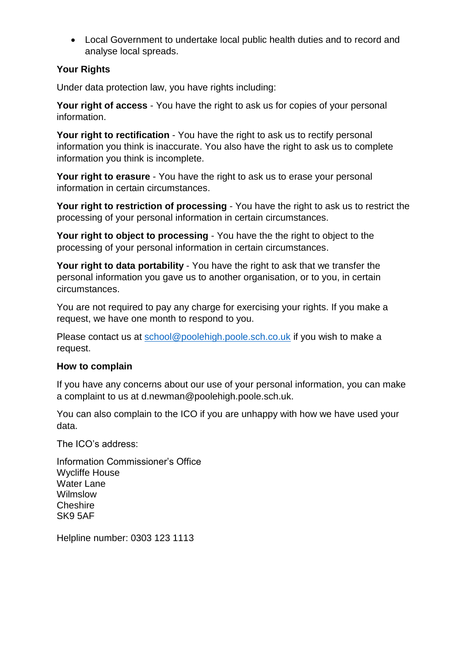Local Government to undertake local public health duties and to record and analyse local spreads.

## **Your Rights**

Under data protection law, you have rights including:

**Your right of access** - You have the right to ask us for copies of your personal information.

**Your right to rectification** - You have the right to ask us to rectify personal information you think is inaccurate. You also have the right to ask us to complete information you think is incomplete.

**Your right to erasure** - You have the right to ask us to erase your personal information in certain circumstances.

**Your right to restriction of processing** - You have the right to ask us to restrict the processing of your personal information in certain circumstances.

**Your right to object to processing** - You have the the right to object to the processing of your personal information in certain circumstances.

**Your right to data portability** - You have the right to ask that we transfer the personal information you gave us to another organisation, or to you, in certain circumstances.

You are not required to pay any charge for exercising your rights. If you make a request, we have one month to respond to you.

Please contact us at [school@poolehigh.poole.sch.co.uk](mailto:school@poolehigh.poole.sch.co.uk) if you wish to make a request.

## **How to complain**

If you have any concerns about our use of your personal information, you can make a complaint to us at d.newman@poolehigh.poole.sch.uk.

You can also complain to the ICO if you are unhappy with how we have used your data.

The ICO's address:

Information Commissioner's Office Wycliffe House Water Lane Wilmslow **Cheshire** SK9 5AF

Helpline number: 0303 123 1113